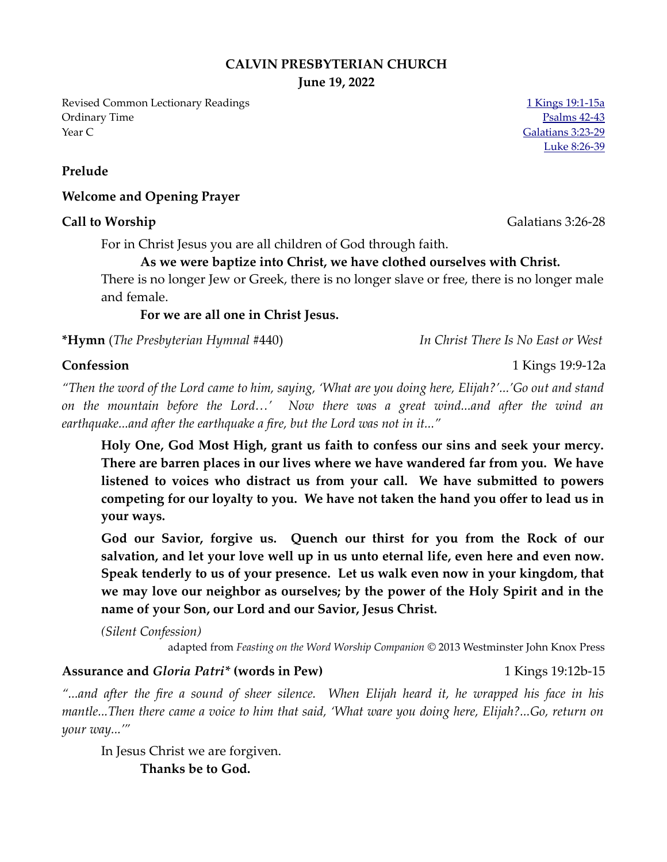### **CALVIN PRESBYTERIAN CHURCH**

**June 19, 2022**

Revised Common Lectionary Readings [1 Kings 19:1-15a](https://www.biblegateway.com/passage/?search=1+Kings+19%3A1-15a&version=NRSVUE) Ordinary Time [Psalms 42-43](https://www.biblegateway.com/passage/?search=Psalms+42-43&version=NRSVUE) Year C [Galatians 3:23-29](https://www.biblegateway.com/passage/?search=Galatians+3%3A23-29&version=NRSVUE)

**Prelude**

#### **Welcome and Opening Prayer**

#### **Call to Worship** Galatians 3:26-28

For in Christ Jesus you are all children of God through faith.

### **As we were baptize into Christ, we have clothed ourselves with Christ.**

There is no longer Jew or Greek, there is no longer slave or free, there is no longer male and female.

**For we are all one in Christ Jesus.** 

**\*Hymn** (*The Presbyterian Hymnal* #440) *In Christ There Is No East or West* 

*"Then the word of the Lord came to him, saying, 'What are you doing here, Elijah?'...'Go out and stand on the mountain before the Lord…' Now there was a great wind...and after the wind an earthquake...and after the earthquake a fire, but the Lord was not in it..."* 

**Holy One, God Most High, grant us faith to confess our sins and seek your mercy. There are barren places in our lives where we have wandered far from you. We have listened to voices who distract us from your call. We have submitted to powers competing for our loyalty to you. We have not taken the hand you offer to lead us in your ways.** 

**God our Savior, forgive us. Quench our thirst for you from the Rock of our salvation, and let your love well up in us unto eternal life, even here and even now. Speak tenderly to us of your presence. Let us walk even now in your kingdom, that we may love our neighbor as ourselves; by the power of the Holy Spirit and in the name of your Son, our Lord and our Savior, Jesus Christ.**

*(Silent Confession)*

adapted from *Feasting on the Word Worship Companion* © 2013 Westminster John Knox Press

#### Assurance and *Gloria Patri\** (words in Pew) 1 Kings 19:12b-15

*"...and after the fire a sound of sheer silence. When Elijah heard it, he wrapped his face in his mantle...Then there came a voice to him that said, 'What ware you doing here, Elijah?...Go, return on your way...'"*

In Jesus Christ we are forgiven. **Thanks be to God.**

[Luke 8:26-39](https://www.biblegateway.com/passage/?search=Luke+8%3A26-39&version=NRSVUE)

**Confession** 1 Kings 19:9-12a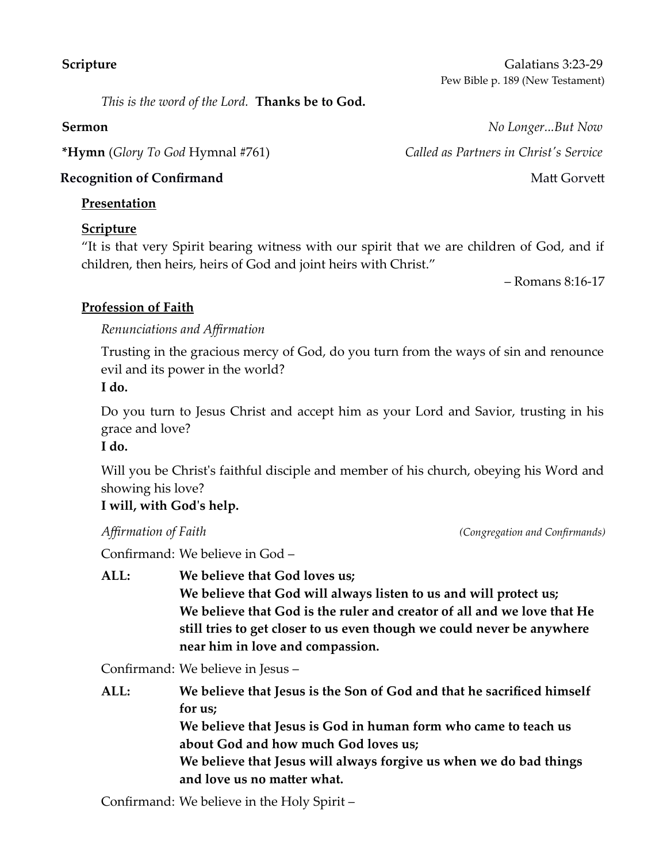**Scripture** Galatians 3:23-29 Pew Bible p. 189 (New Testament)

*This is the word of the Lord.* **Thanks be to God.**

**\*Hymn** (*Glory To God* Hymnal #761) *Called as Partners in Christ's Service* 

### **Presentation**

## **Scripture**

"It is that very Spirit bearing witness with our spirit that we are children of God, and if children, then heirs, heirs of God and joint heirs with Christ."

– Romans 8:16-17

# **Profession of Faith**

*Renunciations and Affirmation*

Trusting in the gracious mercy of God, do you turn from the ways of sin and renounce evil and its power in the world? **I do.**

Do you turn to Jesus Christ and accept him as your Lord and Savior, trusting in his grace and love?

### **I do.**

Will you be Christ's faithful disciple and member of his church, obeying his Word and showing his love?

## **I will, with God's help.**

Confirmand: We believe in God –

**ALL: We believe that God loves us; We believe that God will always listen to us and will protect us; We believe that God is the ruler and creator of all and we love that He still tries to get closer to us even though we could never be anywhere near him in love and compassion.**

Confirmand: We believe in Jesus –

**ALL: We believe that Jesus is the Son of God and that he sacrificed himself for us; We believe that Jesus is God in human form who came to teach us about God and how much God loves us; We believe that Jesus will always forgive us when we do bad things and love us no matter what.**

Confirmand: We believe in the Holy Spirit –

**Sermon** *No Longer...But Now*  **Recognition of Confirmand**  Matt Gorvett **National Structure in the Structure of American** Structure in the Matt Gorvett

*Affirmation of Faith (Congregation and Confirmands)*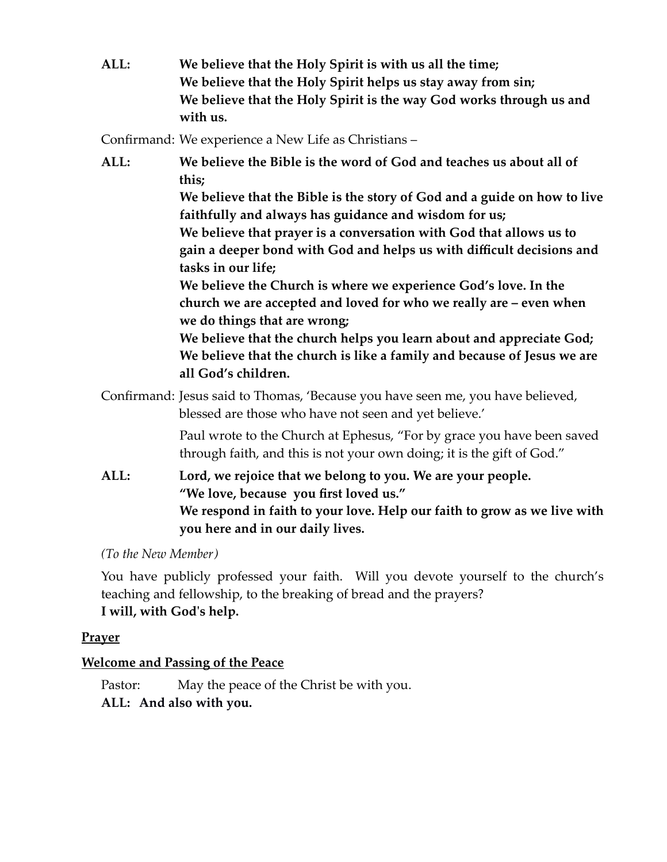**ALL: We believe that the Holy Spirit is with us all the time; We believe that the Holy Spirit helps us stay away from sin; We believe that the Holy Spirit is the way God works through us and with us.**

Confirmand: We experience a New Life as Christians –

**ALL: We believe the Bible is the word of God and teaches us about all of this; We believe that the Bible is the story of God and a guide on how to live faithfully and always has guidance and wisdom for us; We believe that prayer is a conversation with God that allows us to gain a deeper bond with God and helps us with difficult decisions and tasks in our life; We believe the Church is where we experience God's love. In the church we are accepted and loved for who we really are – even when we do things that are wrong; We believe that the church helps you learn about and appreciate God; We believe that the church is like a family and because of Jesus we are all God's children.** Confirmand: Jesus said to Thomas, 'Because you have seen me, you have believed, blessed are those who have not seen and yet believe.' Paul wrote to the Church at Ephesus, "For by grace you have been saved through faith, and this is not your own doing; it is the gift of God." **ALL: Lord, we rejoice that we belong to you. We are your people. "We love, because you first loved us." We respond in faith to your love. Help our faith to grow as we live with**

*(To the New Member)*

You have publicly professed your faith. Will you devote yourself to the church's teaching and fellowship, to the breaking of bread and the prayers? **I will, with God's help.**

## **Prayer**

## **Welcome and Passing of the Peace**

Pastor: May the peace of the Christ be with you.

**you here and in our daily lives.**

**ALL: And also with you.**